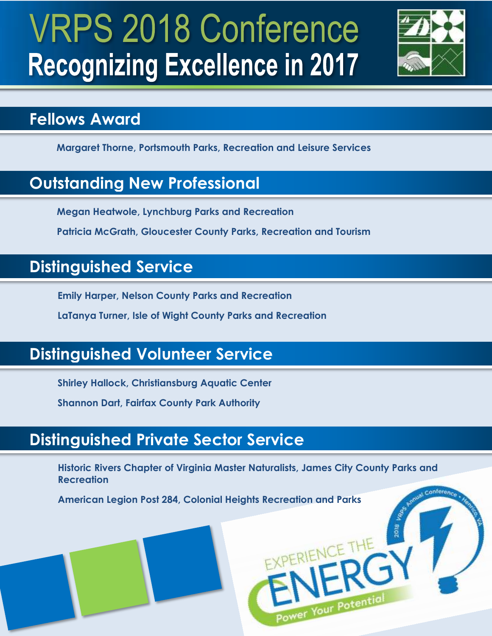

#### **Fellows Award**

**Margaret Thorne, Portsmouth Parks, Recreation and Leisure Services** 

#### **Outstanding New Professional**

**Megan Heatwole, Lynchburg Parks and Recreation**

**Patricia McGrath, Gloucester County Parks, Recreation and Tourism**

#### **Distinguished Service**

**Emily Harper, Nelson County Parks and Recreation**

**LaTanya Turner, Isle of Wight County Parks and Recreation**

### **Distinguished Volunteer Service**

**Shirley Hallock, Christiansburg Aquatic Center**

**Shannon Dart, Fairfax County Park Authority** 

### **Distinguished Private Sector Service**

**Historic Rivers Chapter of Virginia Master Naturalists, James City County Parks and Recreation** 

**ETHE** 

**American Legion Post 284, Colonial Heights Recreation and Parks**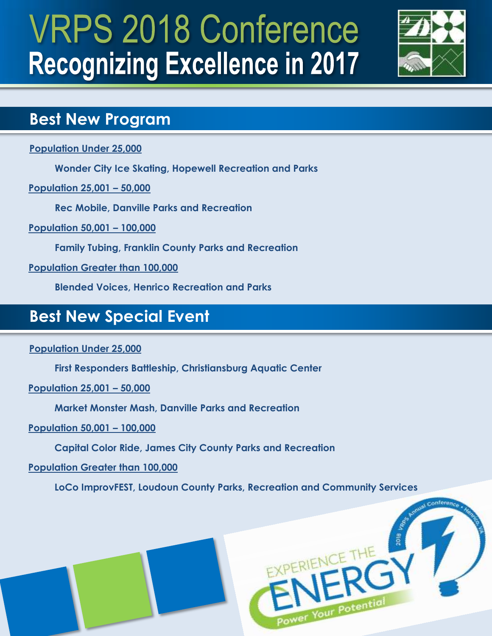

#### **Best New Program**

**Population Under 25,000**

**Wonder City Ice Skating, Hopewell Recreation and Parks** 

**Population 25,001 – 50,000**

**Rec Mobile, Danville Parks and Recreation**

**Population 50,001 – 100,000**

**Family Tubing, Franklin County Parks and Recreation**

**Population Greater than 100,000**

**Blended Voices, Henrico Recreation and Parks** 

### **Best New Special Event**

**Population Under 25,000**

**First Responders Battleship, Christiansburg Aquatic Center**

**Population 25,001 – 50,000**

**Market Monster Mash, Danville Parks and Recreation**

**Population 50,001 – 100,000**

**Capital Color Ride, James City County Parks and Recreation**

**Population Greater than 100,000**

**LoCo ImprovFEST, Loudoun County Parks, Recreation and Community Services** 

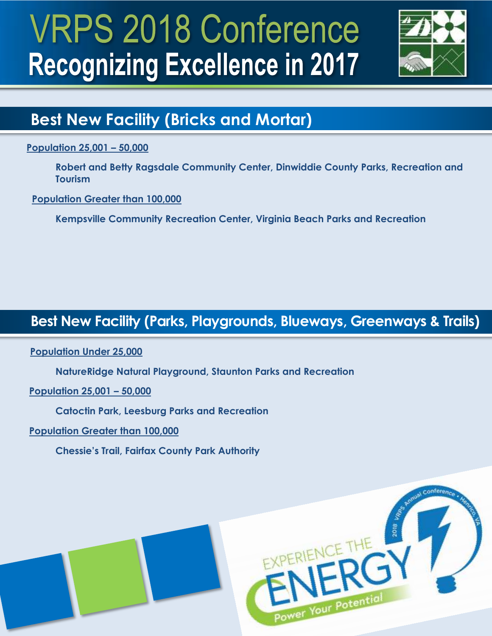

### **Best New Facility (Bricks and Mortar)**

**Population 25,001 – 50,000**

**Robert and Betty Ragsdale Community Center, Dinwiddie County Parks, Recreation and Tourism**

 **Population Greater than 100,000**

**Kempsville Community Recreation Center, Virginia Beach Parks and Recreation**

#### **Best New Facility (Parks, Playgrounds, Blueways, Greenways & Trails)**

**Population Under 25,000**

**NatureRidge Natural Playground, Staunton Parks and Recreation** 

**Population 25,001 – 50,000**

**Catoctin Park, Leesburg Parks and Recreation**

**Population Greater than 100,000**

**Chessie's Trail, Fairfax County Park Authority**

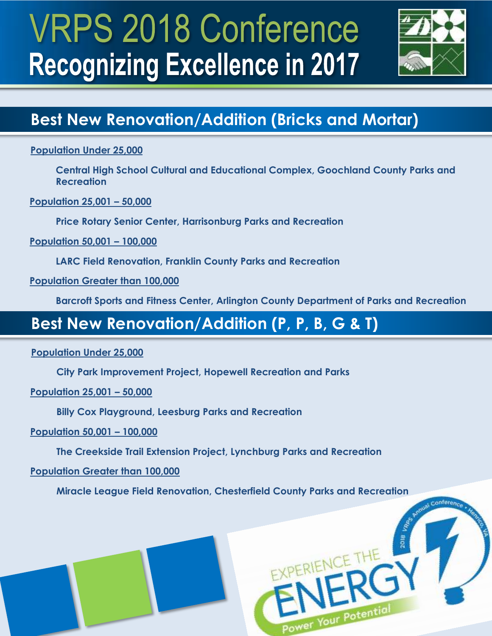

### **Best New Renovation/Addition (Bricks and Mortar)**

**Population Under 25,000**

**Central High School Cultural and Educational Complex, Goochland County Parks and Recreation**

**Population 25,001 – 50,000**

**Price Rotary Senior Center, Harrisonburg Parks and Recreation**

**Population 50,001 – 100,000**

**LARC Field Renovation, Franklin County Parks and Recreation**

**Population Greater than 100,000**

**Barcroft Sports and Fitness Center, Arlington County Department of Parks and Recreation**

#### **Best New Renovation/Addition (P, P, B, G & T)**

#### **Population Under 25,000**

**City Park Improvement Project, Hopewell Recreation and Parks** 

**Population 25,001 – 50,000**

**Billy Cox Playground, Leesburg Parks and Recreation**

#### **Population 50,001 – 100,000**

**The Creekside Trail Extension Project, Lynchburg Parks and Recreation** 

#### **Population Greater than 100,000**

**Miracle League Field Renovation, Chesterfield County Parks and Recreation**

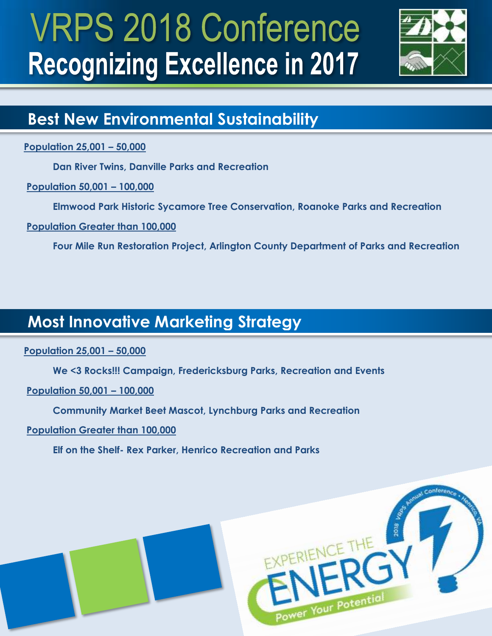

### **Best New Environmental Sustainability**

**Population 25,001 – 50,000**

**Dan River Twins, Danville Parks and Recreation**

**Population 50,001 – 100,000**

**Elmwood Park Historic Sycamore Tree Conservation, Roanoke Parks and Recreation**

**Population Greater than 100,000**

**Four Mile Run Restoration Project, Arlington County Department of Parks and Recreation**

### **Most Innovative Marketing Strategy**

**Population 25,001 – 50,000**

**We <3 Rocks!!! Campaign, Fredericksburg Parks, Recreation and Events** 

**Population 50,001 – 100,000**

**Community Market Beet Mascot, Lynchburg Parks and Recreation**

**Population Greater than 100,000**

**Elf on the Shelf- Rex Parker, Henrico Recreation and Parks** 

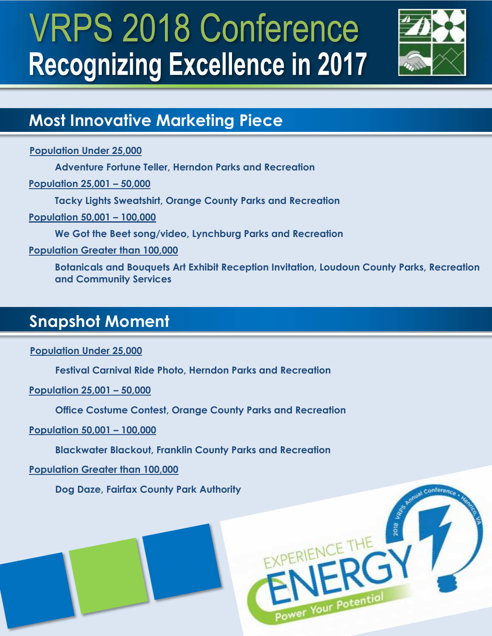

#### **Most Innovative Marketing Piece**

**Population Under 25,000**

**Adventure Fortune Teller, Herndon Parks and Recreation**

**Population 25,001 – 50,000**

**Tacky Lights Sweatshirt, Orange County Parks and Recreation**

**Population 50,001 – 100,000**

**We Got the Beet song/video, Lynchburg Parks and Recreation** 

**Population Greater than 100,000**

**Botanicals and Bouquets Art Exhibit Reception Invitation, Loudoun County Parks, Recreation and Community Services** 

### **Snapshot Moment**

**Population Under 25,000**

**Festival Carnival Ride Photo, Herndon Parks and Recreation**

**Population 25,001 – 50,000**

**Office Costume Contest, Orange County Parks and Recreation**

**Population 50,001 – 100,000**

**Blackwater Blackout, Franklin County Parks and Recreation**

**Population Greater than 100,000**

**Dog Daze, Fairfax County Park Authority**